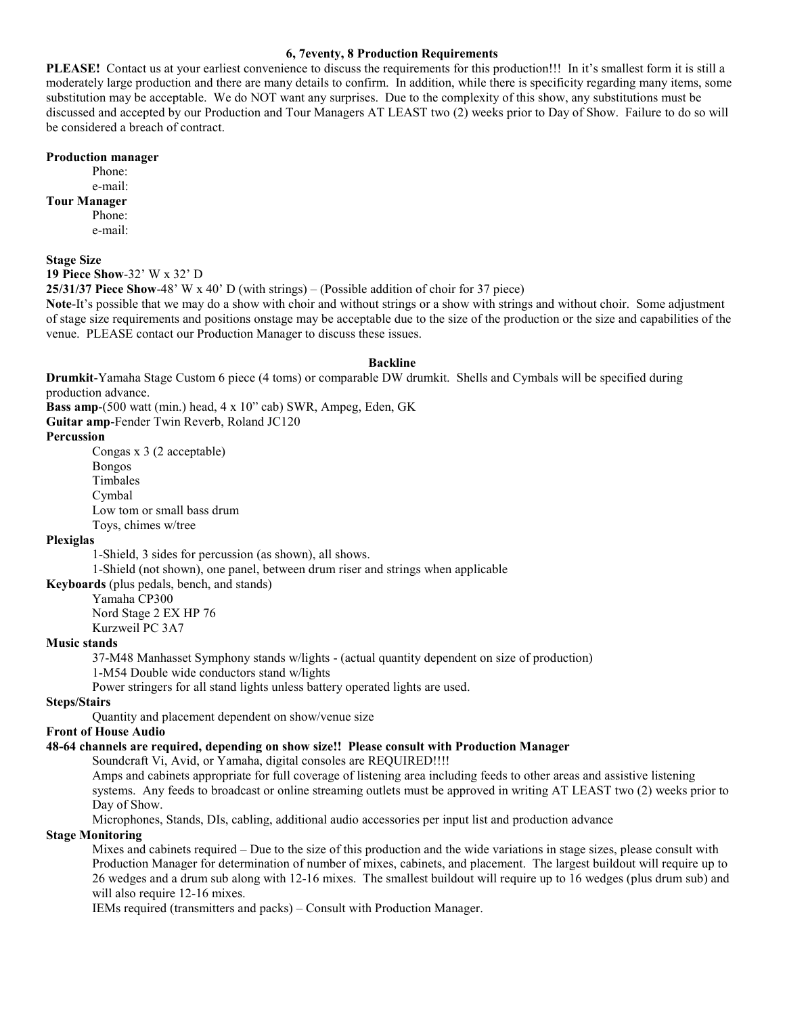### **6, 7eventy, 8 Production Requirements**

**PLEASE!** Contact us at your earliest convenience to discuss the requirements for this production!!! In it's smallest form it is still a moderately large production and there are many details to confirm. In addition, while there is specificity regarding many items, some substitution may be acceptable. We do NOT want any surprises. Due to the complexity of this show, any substitutions must be discussed and accepted by our Production and Tour Managers AT LEAST two (2) weeks prior to Day of Show. Failure to do so will be considered a breach of contract.

#### **Production manager**

Phone: e-mail:

# **Tour Manager**

Phone: e-mail:

**Stage Size** 

**19 Piece Show**-32' W x 32' D

**25/31/37 Piece Show**-48' W x 40' D (with strings) – (Possible addition of choir for 37 piece)

**Note**-It's possible that we may do a show with choir and without strings or a show with strings and without choir. Some adjustment of stage size requirements and positions onstage may be acceptable due to the size of the production or the size and capabilities of the venue. PLEASE contact our Production Manager to discuss these issues.

### **Backline**

**Drumkit**-Yamaha Stage Custom 6 piece (4 toms) or comparable DW drumkit. Shells and Cymbals will be specified during production advance.

**Bass amp**-(500 watt (min.) head, 4 x 10" cab) SWR, Ampeg, Eden, GK

**Guitar amp**-Fender Twin Reverb, Roland JC120

### **Percussion**

Congas x 3 (2 acceptable) Bongos Timbales Cymbal Low tom or small bass drum Toys, chimes w/tree

### **Plexiglas**

1-Shield, 3 sides for percussion (as shown), all shows.

1-Shield (not shown), one panel, between drum riser and strings when applicable

**Keyboards** (plus pedals, bench, and stands)

Yamaha CP300

Nord Stage 2 EX HP 76 Kurzweil PC 3A7

### **Music stands**

37-M48 Manhasset Symphony stands w/lights - (actual quantity dependent on size of production)

1-M54 Double wide conductors stand w/lights

Power stringers for all stand lights unless battery operated lights are used.

### **Steps/Stairs**

Quantity and placement dependent on show/venue size

## **Front of House Audio**

# **48-64 channels are required, depending on show size!! Please consult with Production Manager**

Soundcraft Vi, Avid, or Yamaha, digital consoles are REQUIRED!!!!

Amps and cabinets appropriate for full coverage of listening area including feeds to other areas and assistive listening systems. Any feeds to broadcast or online streaming outlets must be approved in writing AT LEAST two (2) weeks prior to Day of Show.

Microphones, Stands, DIs, cabling, additional audio accessories per input list and production advance

# **Stage Monitoring**

Mixes and cabinets required – Due to the size of this production and the wide variations in stage sizes, please consult with Production Manager for determination of number of mixes, cabinets, and placement. The largest buildout will require up to 26 wedges and a drum sub along with 12-16 mixes. The smallest buildout will require up to 16 wedges (plus drum sub) and will also require 12-16 mixes.

IEMs required (transmitters and packs) – Consult with Production Manager.